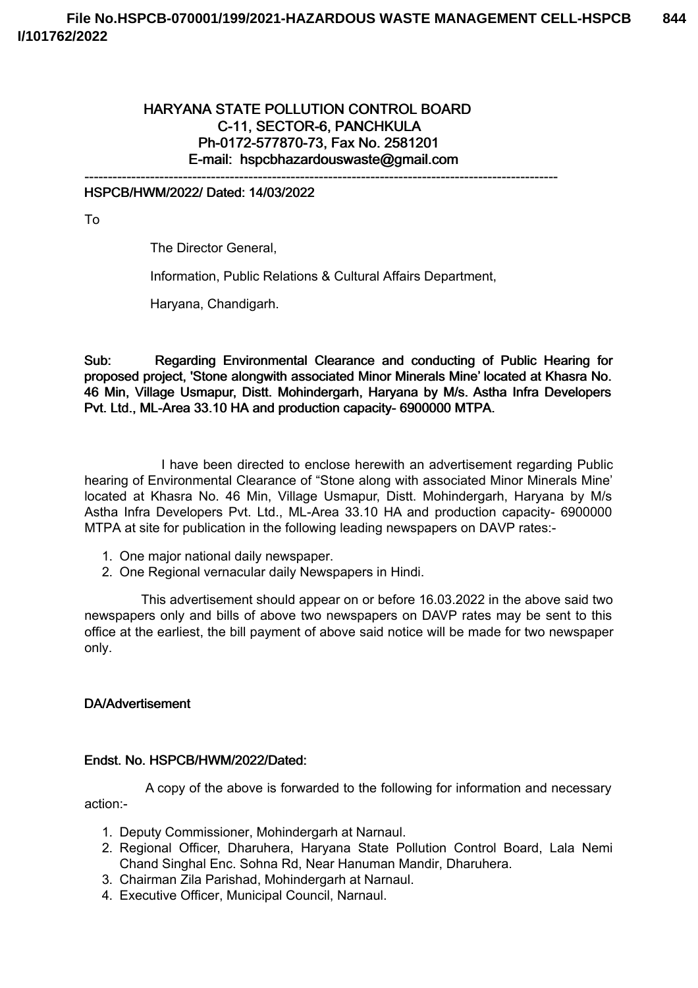# HARYANA STATE POLLUTION CONTROL BOARD C-11, SECTOR-6, PANCHKULA Ph-0172-577870-73, Fax No. 2581201 E-mail: hspcbhazardouswaste@gmail.com

-----------------------------------------------------------------------------------------------------

#### HSPCB/HWM/2022/ Dated: 14/03/2022

To

The Director General,

Information, Public Relations & Cultural Affairs Department,

Haryana, Chandigarh.

Sub: Regarding Environmental Clearance and conducting of Public Hearing for proposed project, 'Stone alongwith associated Minor Minerals Mine' located at Khasra No. 46 Min, Village Usmapur, Distt. Mohindergarh, Haryana by M/s. Astha Infra Developers Pvt. Ltd., ML-Area 33.10 HA and production capacity- 6900000 MTPA.

I have been directed to enclose herewith an advertisement regarding Public hearing of Environmental Clearance of "Stone along with associated Minor Minerals Mine' located at Khasra No. 46 Min, Village Usmapur, Distt. Mohindergarh, Haryana by M/s Astha Infra Developers Pvt. Ltd., ML-Area 33.10 HA and production capacity- 6900000 MTPA at site for publication in the following leading newspapers on DAVP rates:-

- 1. One major national daily newspaper.
- 2. One Regional vernacular daily Newspapers in Hindi.

This advertisement should appear on or before 16.03.2022 in the above said two newspapers only and bills of above two newspapers on DAVP rates may be sent to this office at the earliest, the bill payment of above said notice will be made for two newspaper only.

#### DA/Advertisement

#### Endst. No. HSPCB/HWM/2022/Dated:

A copy of the above is forwarded to the following for information and necessary action:-

- 1. Deputy Commissioner, Mohindergarh at Narnaul.
- 2. Regional Officer, Dharuhera, Haryana State Pollution Control Board, Lala Nemi Chand Singhal Enc. Sohna Rd, Near Hanuman Mandir, Dharuhera.
- 3. Chairman Zila Parishad, Mohindergarh at Narnaul.
- 4. Executive Officer, Municipal Council, Narnaul.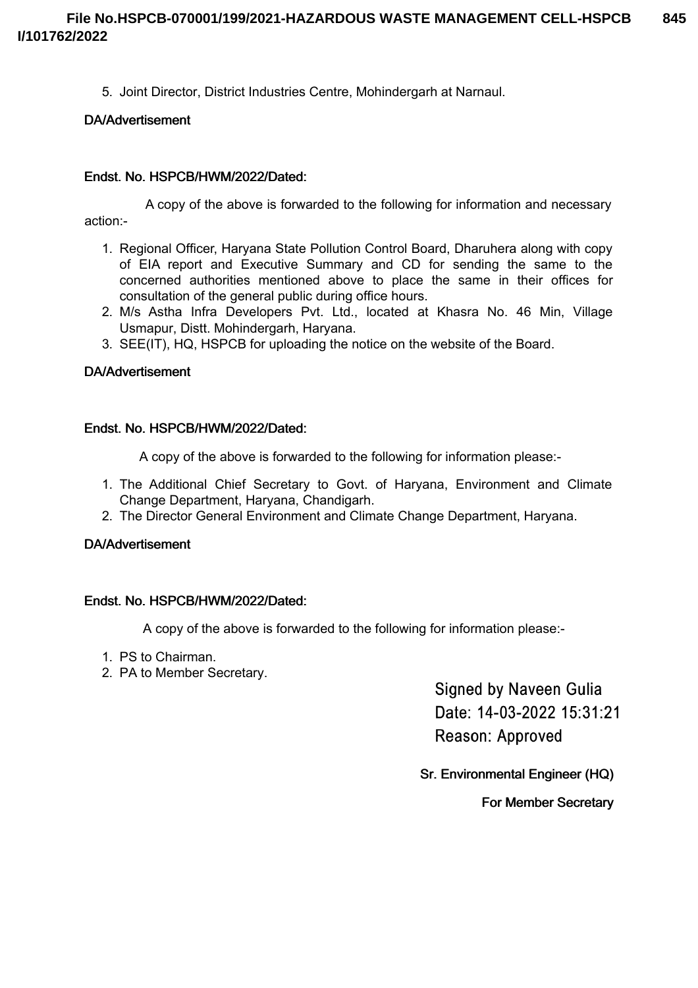5. Joint Director, District Industries Centre, Mohindergarh at Narnaul.

# DA/Advertisement

# Endst. No. HSPCB/HWM/2022/Dated:

A copy of the above is forwarded to the following for information and necessary action:-

- 1. Regional Officer, Haryana State Pollution Control Board, Dharuhera along with copy of EIA report and Executive Summary and CD for sending the same to the concerned authorities mentioned above to place the same in their offices for consultation of the general public during office hours.
- 2. M/s Astha Infra Developers Pvt. Ltd., located at Khasra No. 46 Min, Village Usmapur, Distt. Mohindergarh, Haryana.
- 3. SEE(IT), HQ, HSPCB for uploading the notice on the website of the Board.

### DA/Advertisement

### Endst. No. HSPCB/HWM/2022/Dated:

A copy of the above is forwarded to the following for information please:-

- 1. The Additional Chief Secretary to Govt. of Haryana, Environment and Climate Change Department, Haryana, Chandigarh.
- 2. The Director General Environment and Climate Change Department, Haryana.

### DA/Advertisement

### Endst. No. HSPCB/HWM/2022/Dated:

A copy of the above is forwarded to the following for information please:-

- 1. PS to Chairman.
- 2. PA to Member Secretary.

**Signed by Naveen Gulia** Date: 14-03-2022 15:31:21 Reason: Approved

Sr. Environmental Engineer (HQ)

For Member Secretary